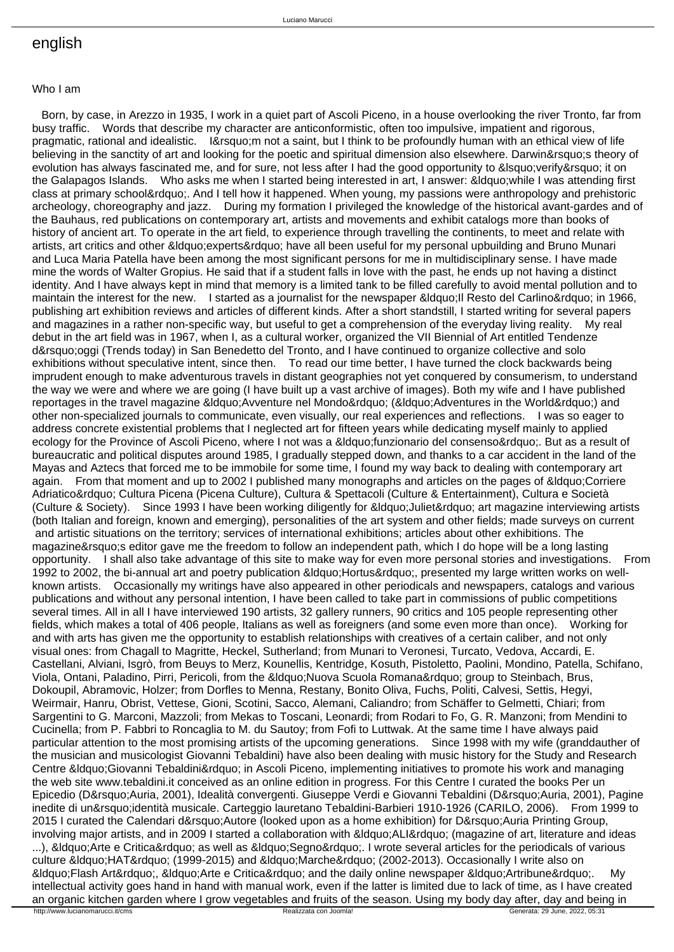## english

## Who I am

 Born, by case, in Arezzo in 1935, I work in a quiet part of Ascoli Piceno, in a house overlooking the river Tronto, far from busy traffic. Words that describe my character are anticonformistic, often too impulsive, impatient and rigorous, pragmatic, rational and idealistic. I'm not a saint, but I think to be profoundly human with an ethical view of life believing in the sanctity of art and looking for the poetic and spiritual dimension also elsewhere. Darwin's theory of evolution has always fascinated me, and for sure, not less after I had the good opportunity to 'verify' it on the Galapagos Islands. Who asks me when I started being interested in art, I answer: & dquo; while I was attending first class at primary school&rdquo:. And I tell how it happened. When young, my passions were anthropology and prehistoric archeology, choreography and jazz. During my formation I privileged the knowledge of the historical avant-gardes and of the Bauhaus, red publications on contemporary art, artists and movements and exhibit catalogs more than books of history of ancient art. To operate in the art field, to experience through travelling the continents, to meet and relate with artists, art critics and other " experts" have all been useful for my personal upbuilding and Bruno Munari and Luca Maria Patella have been among the most significant persons for me in multidisciplinary sense. I have made mine the words of Walter Gropius. He said that if a student falls in love with the past, he ends up not having a distinct identity. And I have always kept in mind that memory is a limited tank to be filled carefully to avoid mental pollution and to maintain the interest for the new. I started as a journalist for the newspaper &Idquo: Il Resto del Carlino&rdquo: in 1966. publishing art exhibition reviews and articles of different kinds. After a short standstill, I started writing for several papers and magazines in a rather non-specific way, but useful to get a comprehension of the everyday living reality. My real debut in the art field was in 1967, when I, as a cultural worker, organized the VII Biennial of Art entitled Tendenze d'oggi (Trends today) in San Benedetto del Tronto, and I have continued to organize collective and solo exhibitions without speculative intent, since then. To read our time better, I have turned the clock backwards being imprudent enough to make adventurous travels in distant geographies not yet conquered by consumerism, to understand the way we were and where we are going (I have built up a vast archive of images). Both my wife and I have published reportages in the travel magazine " Avventure nel Mondo" (" Adventures in the World") and other non-specialized journals to communicate, even visually, our real experiences and reflections. I was so eager to address concrete existential problems that I neglected art for fifteen years while dedicating myself mainly to applied ecology for the Province of Ascoli Piceno, where I not was a &Idquo;funzionario del consenso". But as a result of bureaucratic and political disputes around 1985, I gradually stepped down, and thanks to a car accident in the land of the Mayas and Aztecs that forced me to be immobile for some time, I found my way back to dealing with contemporary art again. From that moment and up to 2002 I published many monographs and articles on the pages of &Idquo:Corriere Adriatico" Cultura Picena (Picena Culture), Cultura & Spettacoli (Culture & Entertainment), Cultura e Società (Culture & Society). Since 1993 I have been working diligently for &Idquo; Juliet" art magazine interviewing artists (both Italian and foreign, known and emerging), personalities of the art system and other fields; made surveys on current and artistic situations on the territory; services of international exhibitions; articles about other exhibitions. The magazine's editor gave me the freedom to follow an independent path, which I do hope will be a long lasting opportunity. I shall also take advantage of this site to make way for even more personal stories and investigations. From 1992 to 2002, the bi-annual art and poetry publication " Hortus", presented my large written works on wellknown artists. Occasionally my writings have also appeared in other periodicals and newspapers, catalogs and various publications and without any personal intention, I have been called to take part in commissions of public competitions several times. All in all I have interviewed 190 artists, 32 gallery runners, 90 critics and 105 people representing other fields, which makes a total of 406 people, Italians as well as foreigners (and some even more than once). Working for and with arts has given me the opportunity to establish relationships with creatives of a certain caliber, and not only visual ones: from Chagall to Magritte, Heckel, Sutherland; from Munari to Veronesi, Turcato, Vedova, Accardi, E. Castellani, Alviani, Isgrò, from Beuys to Merz, Kounellis, Kentridge, Kosuth, Pistoletto, Paolini, Mondino, Patella, Schifano, Viola, Ontani, Paladino, Pirri, Pericoli, from the &Idquo;Nuova Scuola Romana" group to Steinbach, Brus, Dokoupil, Abramovic, Holzer; from Dorfles to Menna, Restany, Bonito Oliva, Fuchs, Politi, Calvesi, Settis, Hegyi, Weirmair, Hanru, Obrist, Vettese, Gioni, Scotini, Sacco, Alemani, Caliandro; from Schäffer to Gelmetti, Chiari; from Sargentini to G. Marconi, Mazzoli; from Mekas to Toscani, Leonardi; from Rodari to Fo, G. R. Manzoni; from Mendini to Cucinella; from P. Fabbri to Roncaglia to M. du Sautoy; from Fofi to Luttwak. At the same time I have always paid particular attention to the most promising artists of the upcoming generations. Since 1998 with my wife (granddauther of the musician and musicologist Giovanni Tebaldini) have also been dealing with music history for the Study and Research Centre &Idquo; Giovanni Tebaldini & rdquo; in Ascoli Piceno, implementing initiatives to promote his work and managing the web site www.tebaldini.it conceived as an online edition in progress. For this Centre I curated the books Per un Epicedio (D'Auria, 2001), Idealità convergenti. Giuseppe Verdi e Giovanni Tebaldini (D'Auria, 2001), Pagine inedite di un'identità musicale. Carteggio lauretano Tebaldini-Barbieri 1910-1926 (CARILO, 2006). From 1999 to 2015 I curated the Calendari d' Autore (looked upon as a home exhibition) for D' Auria Printing Group, involving major artists, and in 2009 I started a collaboration with " ALI" (magazine of art, literature and ideas ...), &Idquo; Arte e Critica & rdquo; as well as &Idquo; Segno & rdquo;. I wrote several articles for the periodicals of various culture &Idquo:HAT&rdquo: (1999-2015) and &Idquo:Marche&rdquo: (2002-2013). Occasionally I write also on " Flash Art", " Arte e Critica" and the daily online newspaper " Artribune". My intellectual activity goes hand in hand with manual work, even if the latter is limited due to lack of time, as I have created an organic kitchen garden where I grow vegetables and fruits of the season. Using my body day after, day and being in<br>http://www.lucianomarucci.it/cms<br>Generata: 29 June, 2022, 05:31